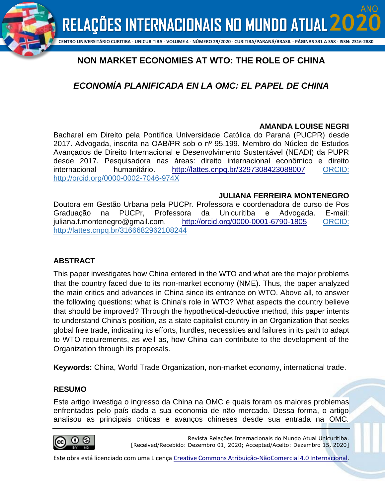

#### **CENTRO UNIVERSITÁRIO CURITIBA - UNICURITIBA - VOLUME 4 - NÚMERO 29/2020 - CURITIBA/PARANÁ/BRASIL - PÁGINAS 331 A 358 - ISSN: 2316-2880**

# **NON MARKET ECONOMIES AT WTO: THE ROLE OF CHINA**

# *ECONOMÍA PLANIFICADA EN LA OMC: EL PAPEL DE CHINA*

#### **AMANDA LOUISE NEGRI**

ANO

Bacharel em Direito pela Pontífica Universidade Católica do Paraná (PUCPR) desde 2017. Advogada, inscrita na OAB/PR sob o nº 95.199. Membro do Núcleo de Estudos Avançados de Direito Internacional e Desenvolvimento Sustentável (NEADI) da PUPR desde 2017. Pesquisadora nas áreas: direito internacional econômico e direito internacional humanitário. <http://lattes.cnpq.br/3297308423088007> ORCID: http://orcid.org/0000-0002-7046-974X

#### **JULIANA FERREIRA MONTENEGRO**

Doutora em Gestão Urbana pela PUCPr. Professora e coordenadora de curso de Pos Graduação na PUCPr, Professora da Unicuritiba e Advogada. E-mail: juliana.f.montenegro@gmail.com. <http://orcid.org/0000-0001-6790-1805> ORCID: http://lattes.cnpq.br/3166682962108244

#### **ABSTRACT**

This paper investigates how China entered in the WTO and what are the major problems that the country faced due to its non-market economy (NME). Thus, the paper analyzed the main critics and advances in China since its entrance on WTO. Above all, to answer the following questions: what is China's role in WTO? What aspects the country believe that should be improved? Through the hypothetical-deductive method, this paper intents to understand China's position, as a state capitalist country in an Organization that seeks global free trade, indicating its efforts, hurdles, necessities and failures in its path to adapt to WTO requirements, as well as, how China can contribute to the development of the Organization through its proposals.

**Keywords:** China, World Trade Organization, non-market economy, international trade.

#### **RESUMO**

Este artigo investiga o ingresso da China na OMC e quais foram os maiores problemas enfrentados pelo país dada a sua economia de não mercado. Dessa forma, o artigo analisou as principais críticas e avanços chineses desde sua entrada na OMC.



Revista Relações Internacionais do Mundo Atual Unicuritiba. [Received/Recebido: Dezembro 01, 2020; Accepted/Aceito: Dezembro 15, 2020]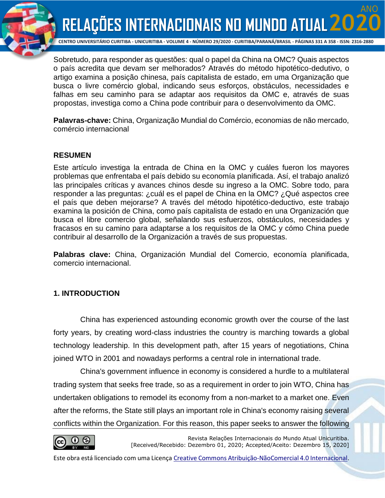

ANO

Sobretudo, para responder as questões: qual o papel da China na OMC? Quais aspectos o país acredita que devam ser melhorados? Através do método hipotético-dedutivo, o artigo examina a posição chinesa, país capitalista de estado, em uma Organização que busca o livre comércio global, indicando seus esforços, obstáculos, necessidades e falhas em seu caminho para se adaptar aos requisitos da OMC e, através de suas propostas, investiga como a China pode contribuir para o desenvolvimento da OMC.

**Palavras-chave:** China, Organização Mundial do Comércio, economias de não mercado, comércio internacional

#### **RESUMEN**

Este artículo investiga la entrada de China en la OMC y cuáles fueron los mayores problemas que enfrentaba el país debido su economía planificada. Así, el trabajo analizó las principales críticas y avances chinos desde su ingreso a la OMC. Sobre todo, para responder a las preguntas: ¿cuál es el papel de China en la OMC? ¿Qué aspectos cree el país que deben mejorarse? A través del método hipotético-deductivo, este trabajo examina la posición de China, como país capitalista de estado en una Organización que busca el libre comercio global, señalando sus esfuerzos, obstáculos, necesidades y fracasos en su camino para adaptarse a los requisitos de la OMC y cómo China puede contribuir al desarrollo de la Organización a través de sus propuestas.

**Palabras clave:** China, Organización Mundial del Comercio, economía planificada, comercio internacional.

#### **1. INTRODUCTION**

China has experienced astounding economic growth over the course of the last forty years, by creating word-class industries the country is marching towards a global technology leadership. In this development path, after 15 years of negotiations, China joined WTO in 2001 and nowadays performs a central role in international trade.

China's government influence in economy is considered a hurdle to a multilateral trading system that seeks free trade, so as a requirement in order to join WTO, China has undertaken obligations to remodel its economy from a non-market to a market one. Even after the reforms, the State still plays an important role in China's economy raising several conflicts within the Organization. For this reason, this paper seeks to answer the following



Revista Relações Internacionais do Mundo Atual Unicuritiba. [Received/Recebido: Dezembro 01, 2020; Accepted/Aceito: Dezembro 15, 2020]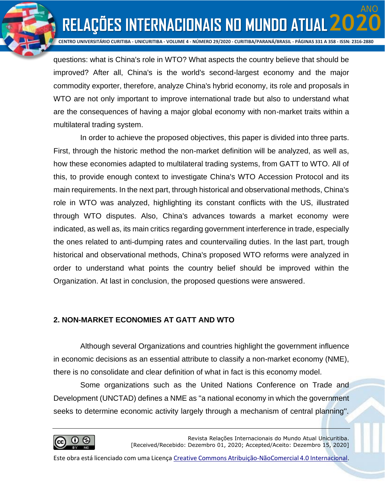ANO

**RELAÇÕES INTERNACIONAIS NO MUNDO ATUAL 20** 

questions: what is China's role in WTO? What aspects the country believe that should be improved? After all, China's is the world's second-largest economy and the major commodity exporter, therefore, analyze China's hybrid economy, its role and proposals in WTO are not only important to improve international trade but also to understand what are the consequences of having a major global economy with non-market traits within a multilateral trading system.

In order to achieve the proposed objectives, this paper is divided into three parts. First, through the historic method the non-market definition will be analyzed, as well as, how these economies adapted to multilateral trading systems, from GATT to WTO. All of this, to provide enough context to investigate China's WTO Accession Protocol and its main requirements. In the next part, through historical and observational methods, China's role in WTO was analyzed, highlighting its constant conflicts with the US, illustrated through WTO disputes. Also, China's advances towards a market economy were indicated, as well as, its main critics regarding government interference in trade, especially the ones related to anti-dumping rates and countervailing duties. In the last part, trough historical and observational methods, China's proposed WTO reforms were analyzed in order to understand what points the country belief should be improved within the Organization. At last in conclusion, the proposed questions were answered.

### **2. NON-MARKET ECONOMIES AT GATT AND WTO**

Although several Organizations and countries highlight the government influence in economic decisions as an essential attribute to classify a non-market economy (NME), there is no consolidate and clear definition of what in fact is this economy model.

Some organizations such as the United Nations Conference on Trade and Development (UNCTAD) defines a NME as ''a national economy in which the government seeks to determine economic activity largely through a mechanism of central planning''.

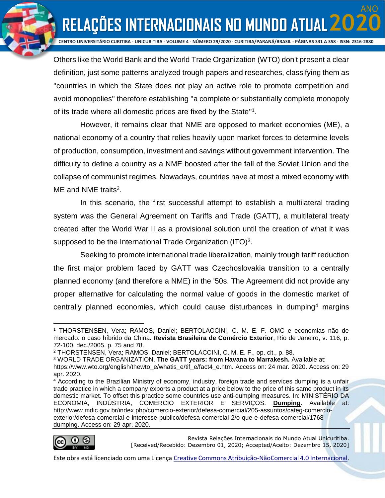ANO

**RELAÇÕES INTERNACIONAIS NO MUNDO ATUAL 20** 

Others like the World Bank and the World Trade Organization (WTO) don't present a clear definition, just some patterns analyzed trough papers and researches, classifying them as ''countries in which the State does not play an active role to promote competition and avoid monopolies'' therefore establishing ''a complete or substantially complete monopoly of its trade where all domestic prices are fixed by the State"<sup>1</sup>.

However, it remains clear that NME are opposed to market economies (ME), a national economy of a country that relies heavily upon market forces to determine levels of production, consumption, investment and savings without government intervention. The difficulty to define a country as a NME boosted after the fall of the Soviet Union and the collapse of communist regimes. Nowadays, countries have at most a mixed economy with ME and NME traits<sup>2</sup>.

In this scenario, the first successful attempt to establish a multilateral trading system was the General Agreement on Tariffs and Trade (GATT), a multilateral treaty created after the World War II as a provisional solution until the creation of what it was supposed to be the International Trade Organization (ITO) $3$ .

Seeking to promote international trade liberalization, mainly trough tariff reduction the first major problem faced by GATT was Czechoslovakia transition to a centrally planned economy (and therefore a NME) in the '50s. The Agreement did not provide any proper alternative for calculating the normal value of goods in the domestic market of centrally planned economies, which could cause disturbances in dumping<sup>4</sup> margins

<sup>&</sup>lt;sup>4</sup> According to the Brazilian Ministry of economy, industry, foreign trade and services dumping is a unfair trade practice in which a company exports a product at a price below to the price of this same product in its domestic market. To offset this practice some countries use anti-dumping measures. In: MINISTÉRIO DA ECONOMIA, INDÚSTRIA, COMÉRCIO EXTERIOR E SERVIÇOS. **[Dumping](http://www.mdic.gov.br/index.php/comercio-exterior/defesa-comercial)**. Available at: http://www.mdic.gov.br/index.php/comercio-exterior/defesa-comercial/205-assuntos/categ-comercioexterior/defesa-comercial-e-interesse-publico/defesa-comercial-2/o-que-e-defesa-comercial/1768 dumping. Access on: 29 apr. 2020.



Revista Relações Internacionais do Mundo Atual Unicuritiba. [Received/Recebido: Dezembro 01, 2020; Accepted/Aceito: Dezembro 15, 2020]

<sup>1</sup> THORSTENSEN, Vera; RAMOS, Daniel; BERTOLACCINI, C. M. E. F. OMC e economias não de mercado: o caso híbrido da China. **Revista Brasileira de Comércio Exterior**, Rio de Janeiro, v. 116, p. 72-100, dec./2005. p. 75 and 78.

<sup>2</sup> THORSTENSEN, Vera; RAMOS, Daniel; BERTOLACCINI, C. M. E. F., op. cit., p. 88.

<sup>3</sup> WORLD TRADE ORGANIZATION. **The GATT years: from Havana to Marrakesh.** Available at:

https://www.wto.org/english/thewto\_e/whatis\_e/tif\_e/fact4\_e.htm. Access on: 24 mar. 2020. Access on: 29 apr. 2020.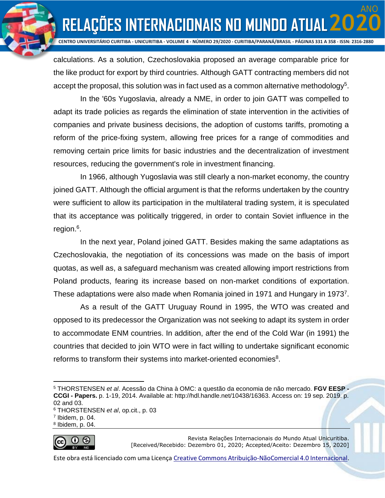ANO

**RELAÇÕES INTERNACIONAIS NO MUNDO ATUAL 20** 

calculations. As a solution, Czechoslovakia proposed an average comparable price for the like product for export by third countries. Although GATT contracting members did not accept the proposal, this solution was in fact used as a common alternative methodology<sup>5</sup>.

In the '60s Yugoslavia, already a NME, in order to join GATT was compelled to adapt its trade policies as regards the elimination of state intervention in the activities of companies and private business decisions, the adoption of customs tariffs, promoting a reform of the price-fixing system, allowing free prices for a range of commodities and removing certain price limits for basic industries and the decentralization of investment resources, reducing the government's role in investment financing.

In 1966, although Yugoslavia was still clearly a non-market economy, the country joined GATT. Although the official argument is that the reforms undertaken by the country were sufficient to allow its participation in the multilateral trading system, it is speculated that its acceptance was politically triggered, in order to contain Soviet influence in the region.<sup>6</sup>.

In the next year, Poland joined GATT. Besides making the same adaptations as Czechoslovakia, the negotiation of its concessions was made on the basis of import quotas, as well as, a safeguard mechanism was created allowing import restrictions from Poland products, fearing its increase based on non-market conditions of exportation. These adaptations were also made when Romania joined in 1971 and Hungary in 1973<sup>7</sup>.

As a result of the GATT Uruguay Round in 1995, the WTO was created and opposed to its predecessor the Organization was not seeking to adapt its system in order to accommodate ENM countries. In addition, after the end of the Cold War (in 1991) the countries that decided to join WTO were in fact willing to undertake significant economic reforms to transform their systems into market-oriented economies<sup>8</sup>.

<sup>8</sup> Ibidem, p. 04.



Revista Relações Internacionais do Mundo Atual Unicuritiba. [Received/Recebido: Dezembro 01, 2020; Accepted/Aceito: Dezembro 15, 2020]

<sup>5</sup> THORSTENSEN *et al*. Acessão da China à OMC: a questão da economia de não mercado. **FGV EESP - CCGI - Papers.** p. 1-19, 2014. Available at: http://hdl.handle.net/10438/16363. Access on: 19 sep. 2019. p. 02 and 03.

<sup>6</sup> THORSTENSEN *et al*, op.cit., p. 03

<sup>7</sup> Ibidem, p. 04.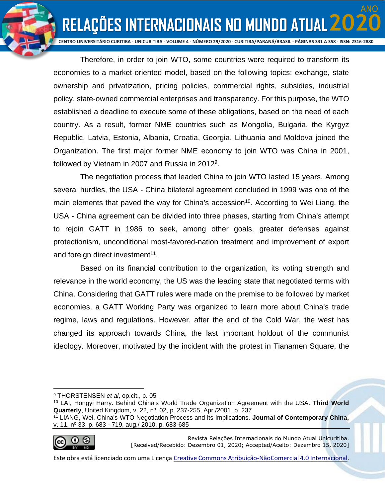ANO

**RELAÇÕES INTERNACIONAIS NO MUNDO ATUAL 20** 

Therefore, in order to join WTO, some countries were required to transform its economies to a market-oriented model, based on the following topics: exchange, state ownership and privatization, pricing policies, commercial rights, subsidies, industrial policy, state-owned commercial enterprises and transparency. For this purpose, the WTO established a deadline to execute some of these obligations, based on the need of each country. As a result, former NME countries such as Mongolia, Bulgaria, the Kyrgyz Republic, Latvia, Estonia, Albania, Croatia, Georgia, Lithuania and Moldova joined the Organization. The first major former NME economy to join WTO was China in 2001, followed by Vietnam in 2007 and Russia in 2012<sup>9</sup>.

The negotiation process that leaded China to join WTO lasted 15 years. Among several hurdles, the USA - China bilateral agreement concluded in 1999 was one of the main elements that paved the way for China's accession<sup>10</sup>. According to Wei Liang, the USA - China agreement can be divided into three phases, starting from China's attempt to rejoin GATT in 1986 to seek, among other goals, greater defenses against protectionism, unconditional most-favored-nation treatment and improvement of export and foreign direct investment<sup>11</sup>.

Based on its financial contribution to the organization, its voting strength and relevance in the world economy, the US was the leading state that negotiated terms with China. Considering that GATT rules were made on the premise to be followed by market economies, a GATT Working Party was organized to learn more about China's trade regime, laws and regulations. However, after the end of the Cold War, the west has changed its approach towards China, the last important holdout of the communist ideology. Moreover, motivated by the incident with the protest in Tianamen Square, the

<sup>11</sup> LIANG, Wei. China's WTO Negotiation Process and its Implications. **Journal of Contemporary China,**  v. 11, nº 33, p. 683 - 719, aug./ 2010. p. 683-685



Revista Relações Internacionais do Mundo Atual Unicuritiba. [Received/Recebido: Dezembro 01, 2020; Accepted/Aceito: Dezembro 15, 2020]

<sup>9</sup> THORSTENSEN *et al*, op.cit., p. 05

<sup>10</sup> LAI, Hongyi Harry. Behind China's World Trade Organization Agreement with the USA. **Third World Quarterly**, United Kingdom, v. 22, nº. 02, p. 237-255, Apr./2001. p. 237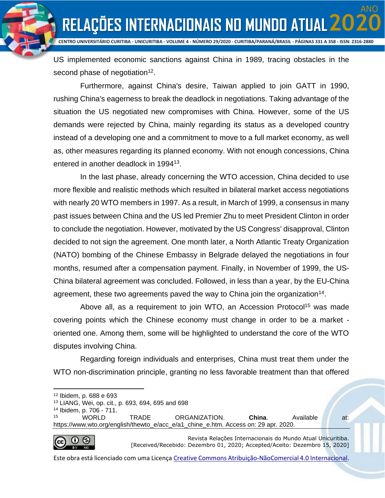ANO

**RELAÇÕES INTERNACIONAIS NO MUNDO ATUAL 20** 

US implemented economic sanctions against China in 1989, tracing obstacles in the second phase of negotiation<sup>12</sup>.

Furthermore, against China's desire, Taiwan applied to join GATT in 1990, rushing China's eagerness to break the deadlock in negotiations. Taking advantage of the situation the US negotiated new compromises with China. However, some of the US demands were rejected by China, mainly regarding its status as a developed country instead of a developing one and a commitment to move to a full market economy, as well as, other measures regarding its planned economy. With not enough concessions, China entered in another deadlock in 1994<sup>13</sup>.

In the last phase, already concerning the WTO accession, China decided to use more flexible and realistic methods which resulted in bilateral market access negotiations with nearly 20 WTO members in 1997. As a result, in March of 1999, a consensus in many past issues between China and the US led Premier Zhu to meet President Clinton in order to conclude the negotiation. However, motivated by the US Congress' disapproval, Clinton decided to not sign the agreement. One month later, a North Atlantic Treaty Organization (NATO) bombing of the Chinese Embassy in Belgrade delayed the negotiations in four months, resumed after a compensation payment. Finally, in November of 1999, the US-China bilateral agreement was concluded. Followed, in less than a year, by the EU-China agreement, these two agreements paved the way to China join the organization<sup>14</sup>.

Above all, as a requirement to join WTO, an Accession Protocol<sup>15</sup> was made covering points which the Chinese economy must change in order to be a market oriented one. Among them, some will be highlighted to understand the core of the WTO disputes involving China.

Regarding foreign individuals and enterprises, China must treat them under the WTO non-discrimination principle, granting no less favorable treatment than that offered

<sup>15</sup> WORLD TRADE ORGANIZATION. **China**. Available at: https://www.wto.org/english/thewto\_e/acc\_e/a1\_chine\_e.htm. Access on: 29 apr. 2020.



Revista Relações Internacionais do Mundo Atual Unicuritiba. [Received/Recebido: Dezembro 01, 2020; Accepted/Aceito: Dezembro 15, 2020]

<sup>12</sup> Ibidem, p. 688 e 693

<sup>13</sup> LIANG, Wei, op. cit., p. 693, 694, 695 and 698

<sup>14</sup> Ibidem, p. 706 - 711.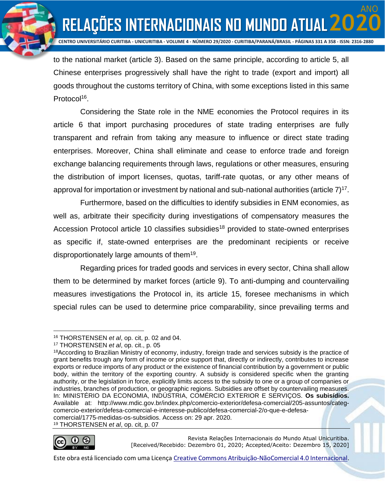ANO

**RELAÇÕES INTERNACIONAIS NO MUNDO ATUAL 20** 

to the national market (article 3). Based on the same principle, according to article 5, all Chinese enterprises progressively shall have the right to trade (export and import) all goods throughout the customs territory of China, with some exceptions listed in this same Protocol<sup>16</sup>.

Considering the State role in the NME economies the Protocol requires in its article 6 that import purchasing procedures of state trading enterprises are fully transparent and refrain from taking any measure to influence or direct state trading enterprises. Moreover, China shall eliminate and cease to enforce trade and foreign exchange balancing requirements through laws, regulations or other measures, ensuring the distribution of import licenses, quotas, tariff-rate quotas, or any other means of approval for importation or investment by national and sub-national authorities (article  $7$ )<sup>17</sup>.

Furthermore, based on the difficulties to identify subsidies in ENM economies, as well as, arbitrate their specificity during investigations of compensatory measures the Accession Protocol article 10 classifies subsidies<sup>18</sup> provided to state-owned enterprises as specific if, state-owned enterprises are the predominant recipients or receive disproportionately large amounts of them<sup>19</sup>.

Regarding prices for traded goods and services in every sector, China shall allow them to be determined by market forces (article 9). To anti-dumping and countervailing measures investigations the Protocol in, its article 15, foresee mechanisms in which special rules can be used to determine price comparability, since prevailing terms and

Revista Relações Internacionais do Mundo Atual Unicuritiba. [Received/Recebido: Dezembro 01, 2020; Accepted/Aceito: Dezembro 15, 2020]

<sup>16</sup> THORSTENSEN *et al*, op. cit, p. 02 and 04.

<sup>17</sup> THORSTENSEN *et al*, op. cit., p. 05

<sup>18</sup>According to Brazilian Ministry of economy, industry, foreign trade and services subsidy is the practice of grant benefits trough any form of income or price support that, directly or indirectly, contributes to increase exports or reduce imports of any product or the existence of financial contribution by a government or public body, within the territory of the exporting country. A subsidy is considered specific when the granting authority, or the legislation in force, explicitly limits access to the subsidy to one or a group of companies or industries, branches of production, or geographic regions. Subsidies are offset by countervailing measures. In: MINISTÉRIO DA ECONOMIA, INDÚSTRIA, COMÉRCIO EXTERIOR E SERVIÇOS. **Os subisídios.**  Available at: http://www.mdic.gov.br/index.php/comercio-exterior/defesa-comercial/205-assuntos/categcomercio-exterior/defesa-comercial-e-interesse-publico/defesa-comercial-2/o-que-e-defesacomercial/1775-medidas-os-subsidios. Access on: 29 apr. 2020. <sup>19</sup> THORSTENSEN *et al*, op. cit, p. 07

Este obra está licenciado com uma Licença [Creative Commons Atribuição-NãoComercial 4.0 Internacional.](http://creativecommons.org/licenses/by-nc/4.0/)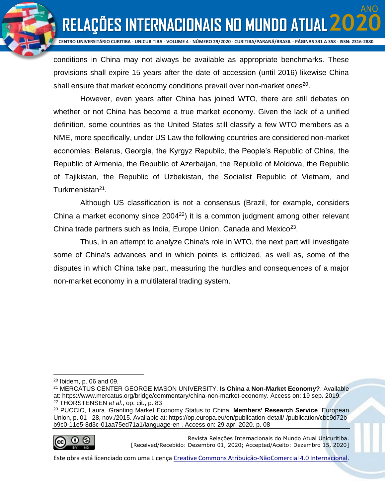ANO

**RELAÇÕES INTERNACIONAIS NO MUNDO ATUAL 20** 

conditions in China may not always be available as appropriate benchmarks. These provisions shall expire 15 years after the date of accession (until 2016) likewise China shall ensure that market economy conditions prevail over non-market ones $^{20}$ .

However, even years after China has joined WTO, there are still debates on whether or not China has become a true market economy. Given the lack of a unified definition, some countries as the United States still classify a few WTO members as a NME, more specifically, under US Law the following countries are considered non-market economies: Belarus, Georgia, the Kyrgyz Republic, the People's Republic of China, the Republic of Armenia, the Republic of Azerbaijan, the Republic of Moldova, the Republic of Tajikistan, the Republic of Uzbekistan, the Socialist Republic of Vietnam, and Turkmenistan<sup>21</sup>.

Although US classification is not a consensus (Brazil, for example, considers China a market economy since  $2004^{22}$ ) it is a common judgment among other relevant China trade partners such as India, Europe Union, Canada and Mexico<sup>23</sup>.

Thus, in an attempt to analyze China's role in WTO, the next part will investigate some of China's advances and in which points is criticized, as well as, some of the disputes in which China take part, measuring the hurdles and consequences of a major non-market economy in a multilateral trading system.

<sup>23</sup> PUCCIO, Laura. Granting Market Economy Status to China. **Members' Research Service**. European Union, p. 01 - 28, nov./2015. Available at: https://op.europa.eu/en/publication-detail/-/publication/cbc9d72bb9c0-11e5-8d3c-01aa75ed71a1/language-en . Access on: 29 apr. 2020. p. 08



Revista Relações Internacionais do Mundo Atual Unicuritiba. [Received/Recebido: Dezembro 01, 2020; Accepted/Aceito: Dezembro 15, 2020]

 $20$  Ibidem, p. 06 and 09.

<sup>21</sup> MERCATUS CENTER GEORGE MASON UNIVERSITY. **Is China a Non-Market Economy?**. Available at: https://www.mercatus.org/bridge/commentary/china-non-market-economy. Access on: 19 sep. 2019. <sup>22</sup> THORSTENSEN *et al*., op. cit., p. 83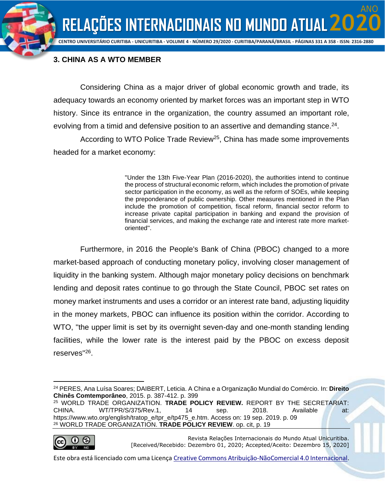ANO



## **3. CHINA AS A WTO MEMBER**

Considering China as a major driver of global economic growth and trade, its adequacy towards an economy oriented by market forces was an important step in WTO history. Since its entrance in the organization, the country assumed an important role, evolving from a timid and defensive position to an assertive and demanding stance. $24$ .

According to WTO Police Trade Review<sup>25</sup>, China has made some improvements headed for a market economy:

> ''Under the 13th Five-Year Plan (2016-2020), the authorities intend to continue the process of structural economic reform, which includes the promotion of private sector participation in the economy, as well as the reform of SOEs, while keeping the preponderance of public ownership. Other measures mentioned in the Plan include the promotion of competition, fiscal reform, financial sector reform to increase private capital participation in banking and expand the provision of financial services, and making the exchange rate and interest rate more marketoriented''.

Furthermore, in 2016 the People's Bank of China (PBOC) changed to a more market-based approach of conducting monetary policy, involving closer management of liquidity in the banking system. Although major monetary policy decisions on benchmark lending and deposit rates continue to go through the State Council, PBOC set rates on money market instruments and uses a corridor or an interest rate band, adjusting liquidity in the money markets, PBOC can influence its position within the corridor. According to WTO, ''the upper limit is set by its overnight seven-day and one-month standing lending facilities, while the lower rate is the interest paid by the PBOC on excess deposit reserves"<sup>26</sup>.

<sup>25</sup> WORLD TRADE ORGANIZATION. **TRADE POLICY REVIEW.** REPORT BY THE SECRETARIAT: CHINA. WT/TPR/S/375/Rev.1, 14 sep. 2018. Available at: https://www.wto.org/english/tratop\_e/tpr\_e/tp475\_e.htm. Access on: 19 sep. 2019. p. 09 <sup>26</sup> WORLD TRADE ORGANIZATION. **TRADE POLICY REVIEW**. op. cit, p. 19



Revista Relações Internacionais do Mundo Atual Unicuritiba. [Received/Recebido: Dezembro 01, 2020; Accepted/Aceito: Dezembro 15, 2020]

<sup>24</sup> PERES, Ana Luísa Soares; DAIBERT, Leticia. A China e a Organização Mundial do Comércio. In: **Direito Chinês Comtemporâneo**, 2015. p. 387-412. p. 399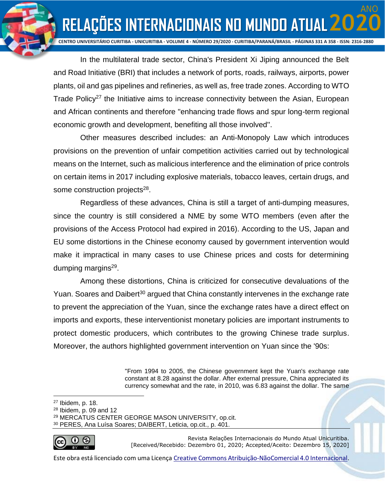**RELAÇÕES INTERNACIONAIS NO MUNDO ATUAL 20 CENTRO UNIVERSITÁRIO CURITIBA - UNICURITIBA - VOLUME 4 - NÚMERO 29/2020 - CURITIBA/PARANÁ/BRASIL - PÁGINAS 331 A 358 - ISSN: 2316-2880**

ANO

In the multilateral trade sector, China's President Xi Jiping announced the Belt and Road Initiative (BRI) that includes a network of ports, roads, railways, airports, power plants, oil and gas pipelines and refineries, as well as, free trade zones. According to WTO Trade Policy<sup>27</sup> the Initiative aims to increase connectivity between the Asian, European and African continents and therefore ''enhancing trade flows and spur long-term regional economic growth and development, benefiting all those involved''.

Other measures described includes: an Anti-Monopoly Law which introduces provisions on the prevention of unfair competition activities carried out by technological means on the Internet, such as malicious interference and the elimination of price controls on certain items in 2017 including explosive materials, tobacco leaves, certain drugs, and some construction projects<sup>28</sup>.

Regardless of these advances, China is still a target of anti-dumping measures, since the country is still considered a NME by some WTO members (even after the provisions of the Access Protocol had expired in 2016). According to the US, Japan and EU some distortions in the Chinese economy caused by government intervention would make it impractical in many cases to use Chinese prices and costs for determining dumping margins<sup>29</sup>.

Among these distortions, China is criticized for consecutive devaluations of the Yuan. Soares and Daibert<sup>30</sup> argued that China constantly intervenes in the exchange rate to prevent the appreciation of the Yuan, since the exchange rates have a direct effect on imports and exports, these interventionist monetary policies are important instruments to protect domestic producers, which contributes to the growing Chinese trade surplus. Moreover, the authors highlighted government intervention on Yuan since the '90s:

> ''From 1994 to 2005, the Chinese government kept the Yuan's exchange rate constant at 8.28 against the dollar. After external pressure, China appreciated its currency somewhat and the rate, in 2010, was 6.83 against the dollar. The same

<sup>30</sup> PERES, Ana Luísa Soares; DAIBERT, Leticia, op.cit., p. 401.



Revista Relações Internacionais do Mundo Atual Unicuritiba. [Received/Recebido: Dezembro 01, 2020; Accepted/Aceito: Dezembro 15, 2020]

<sup>27</sup> Ibidem, p. 18.

 $28$  Ibidem, p. 09 and 12

<sup>29</sup> MERCATUS CENTER GEORGE MASON UNIVERSITY, op.cit.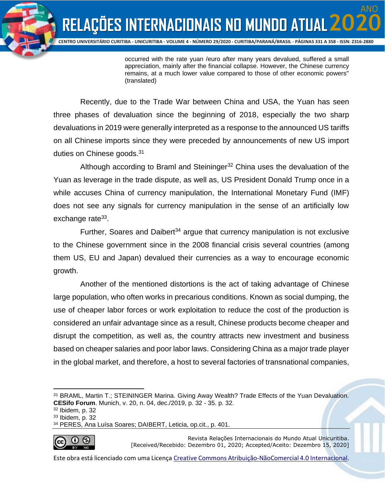

occurred with the rate yuan /euro after many years devalued, suffered a small appreciation, mainly after the financial collapse. However, the Chinese currency remains, at a much lower value compared to those of other economic powers'' (translated)

Recently, due to the Trade War between China and USA, the Yuan has seen three phases of devaluation since the beginning of 2018, especially the two sharp devaluations in 2019 were generally interpreted as a response to the announced US tariffs on all Chinese imports since they were preceded by announcements of new US import duties on Chinese goods.<sup>31</sup>

Although according to Braml and Steininger<sup>32</sup> China uses the devaluation of the Yuan as leverage in the trade dispute, as well as, US President Donald Trump once in a while accuses China of currency manipulation, the International Monetary Fund (IMF) does not see any signals for currency manipulation in the sense of an artificially low exchange rate<sup>33</sup>.

Further, Soares and Daibert<sup>34</sup> argue that currency manipulation is not exclusive to the Chinese government since in the 2008 financial crisis several countries (among them US, EU and Japan) devalued their currencies as a way to encourage economic growth.

Another of the mentioned distortions is the act of taking advantage of Chinese large population, who often works in precarious conditions. Known as social dumping, the use of cheaper labor forces or work exploitation to reduce the cost of the production is considered an unfair advantage since as a result, Chinese products become cheaper and disrupt the competition, as well as, the country attracts new investment and business based on cheaper salaries and poor labor laws. Considering China as a major trade player in the global market, and therefore, a host to several factories of transnational companies,

<sup>34</sup> PERES, Ana Luísa Soares; DAIBERT, Leticia, op.cit., p. 401.



Revista Relações Internacionais do Mundo Atual Unicuritiba. [Received/Recebido: Dezembro 01, 2020; Accepted/Aceito: Dezembro 15, 2020]

<sup>31</sup> BRAML, Martin T.; STEININGER Marina. Giving Away Wealth? Trade Effects of the Yuan Devaluation. **CESifo Forum**. Munich, v. 20, n. 04, dec./2019, p. 32 - 35. p. 32.

<sup>32</sup> Ibidem, p. 32

<sup>33</sup> Ibidem, p. 32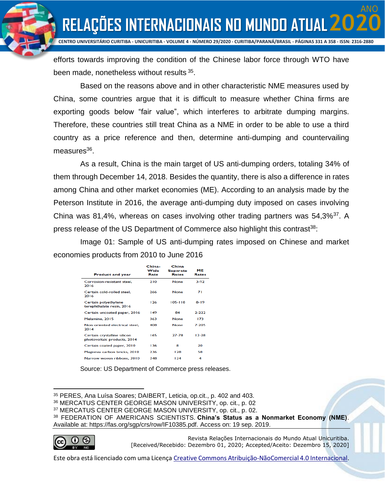ANO

**CENTRO UNIVERSITÁRIO CURITIBA - UNICURITIBA - VOLUME 4 - NÚMERO 29/2020 - CURITIBA/PARANÁ/BRASIL - PÁGINAS 331 A 358 - ISSN: 2316-2880**

efforts towards improving the condition of the Chinese labor force through WTO have been made, nonetheless without results 35.

Based on the reasons above and in other characteristic NME measures used by China, some countries argue that it is difficult to measure whether China firms are exporting goods below "fair value", which interferes to arbitrate dumping margins. Therefore, these countries still treat China as a NME in order to be able to use a third country as a price reference and then, determine anti-dumping and countervailing measures<sup>36</sup>.

As a result, China is the main target of US anti-dumping orders, totaling 34% of them through December 14, 2018. Besides the quantity, there is also a difference in rates among China and other market economies (ME). According to an analysis made by the Peterson Institute in 2016, the average anti-dumping duty imposed on cases involving China was 81,4%, whereas on cases involving other trading partners was 54,3%<sup>37</sup>. A press release of the US Department of Commerce also highlight this contrast<sup>38</sup>:

Image 01: Sample of US anti-dumping rates imposed on Chinese and market economies products from 2010 to June 2016

| <b>Product and year</b>                                    | China-<br>Wide<br>Rate | China<br><b>Separate</b><br>Rates | ME<br>Rates |
|------------------------------------------------------------|------------------------|-----------------------------------|-------------|
| Corrosion-resistant steel,<br>2016                         | 210                    | <b>None</b>                       | $3-92$      |
| Certain cold-rolled steel.<br>2016                         | 266                    | <b>None</b>                       | 71          |
| Certain polyethylene<br>terephthalate resin, 2016          | 126                    | 105-118                           | 8-19        |
| Certain uncoated paper, 2016                               | 149                    | 84                                | $7 - 777$   |
| Melamine, 2015                                             | 363                    | <b>None</b>                       | 173         |
| Non-oriented electrical steel.<br>2014                     | 408                    | <b>None</b>                       | 7-205       |
| Certain crystalline silicon<br>photovoltaic products, 2014 | 165                    | $27 - 78$                         | $12-28$     |
| Certain coated paper, 2010                                 | 136                    | я                                 | 20          |
| Magnesia carbon bricks, 2010                               | 236                    | 128                               | 58          |
| Narrow woven ribbons, 2010                                 | 248                    | 124                               | 4           |

Source: US Department of Commerce press releases.

<sup>38</sup> FEDERATION OF AMERICANS SCIENTISTS. **China's Status as a Nonmarket Economy (NME)**. Available at: https://fas.org/sgp/crs/row/IF10385.pdf. Access on: 19 sep. 2019.



Revista Relações Internacionais do Mundo Atual Unicuritiba. [Received/Recebido: Dezembro 01, 2020; Accepted/Aceito: Dezembro 15, 2020]

<sup>35</sup> PERES, Ana Luísa Soares; DAIBERT, Leticia, op.cit., p. 402 and 403.

<sup>36</sup> MERCATUS CENTER GEORGE MASON UNIVERSITY, op. cit., p. 02

<sup>37</sup> MERCATUS CENTER GEORGE MASON UNIVERSITY, op. cit., p. 02.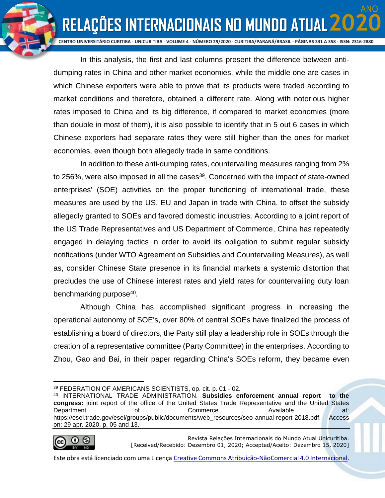ANO

**RELAÇÕES INTERNACIONAIS NO MUNDO ATUAL 20** 

In this analysis, the first and last columns present the difference between antidumping rates in China and other market economies, while the middle one are cases in which Chinese exporters were able to prove that its products were traded according to market conditions and therefore, obtained a different rate. Along with notorious higher rates imposed to China and its big difference, if compared to market economies (more than double in most of them), it is also possible to identify that in 5 out 6 cases in which Chinese exporters had separate rates they were still higher than the ones for market economies, even though both allegedly trade in same conditions.

In addition to these anti-dumping rates, countervailing measures ranging from 2% to 256%, were also imposed in all the cases<sup>39</sup>. Concerned with the impact of state-owned enterprises' (SOE) activities on the proper functioning of international trade, these measures are used by the US, EU and Japan in trade with China, to offset the subsidy allegedly granted to SOEs and favored domestic industries. According to a joint report of the US Trade Representatives and US Department of Commerce, China has repeatedly engaged in delaying tactics in order to avoid its obligation to submit regular subsidy notifications (under WTO Agreement on Subsidies and Countervailing Measures), as well as, consider Chinese State presence in its financial markets a systemic distortion that precludes the use of Chinese interest rates and yield rates for countervailing duty loan benchmarking purpose<sup>40</sup>.

Although China has accomplished significant progress in increasing the operational autonomy of SOE's, over 80% of central SOEs have finalized the process of establishing a board of directors, the Party still play a leadership role in SOEs through the creation of a representative committee (Party Committee) in the enterprises. According to Zhou, Gao and Bai, in their paper regarding China's SOEs reform, they became even

<sup>40</sup> INTERNATIONAL TRADE ADMINISTRATION. **Subsidies enforcement annual report to the congress:** joint report of the office of the United States Trade Representative and the United States Department of Commerce. Available at: https://esel.trade.gov/esel/groups/public/documents/web\_resources/seo-annual-report-2018.pdf. Access on: 29 apr. 2020. p. 05 and 13.



Revista Relações Internacionais do Mundo Atual Unicuritiba. [Received/Recebido: Dezembro 01, 2020; Accepted/Aceito: Dezembro 15, 2020]

<sup>39</sup> FEDERATION OF AMERICANS SCIENTISTS, op. cit. p. 01 - 02.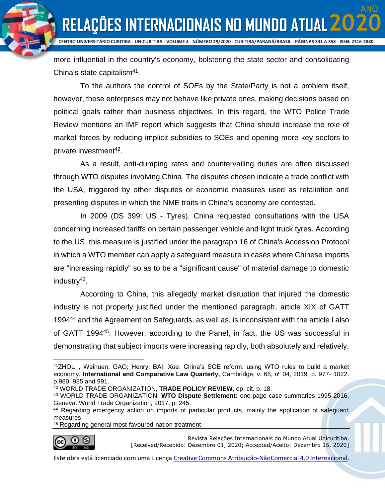ANO

**RELAÇÕES INTERNACIONAIS NO MUNDO ATUAL 20** 

more influential in the country's economy, bolstering the state sector and consolidating China's state capitalism<sup>41</sup>.

To the authors the control of SOEs by the State/Party is not a problem itself, however, these enterprises may not behave like private ones, making decisions based on political goals rather than business objectives. In this regard, the WTO Police Trade Review mentions an IMF report which suggests that China should increase the role of market forces by reducing implicit subsidies to SOEs and opening more key sectors to private investment<sup>42</sup>.

As a result, anti-dumping rates and countervailing duties are often discussed through WTO disputes involving China. The disputes chosen indicate a trade conflict with the USA, triggered by other disputes or economic measures used as retaliation and presenting disputes in which the NME traits in China's economy are contested.

In 2009 (DS 399: US - Tyres), China requested consultations with the USA concerning increased tariffs on certain passenger vehicle and light truck tyres. According to the US, this measure is justified under the paragraph 16 of China's Accession Protocol in which a WTO member can apply a safeguard measure in cases where Chinese imports are "increasing rapidly" so as to be a "significant cause" of material damage to domestic industry<sup>43</sup>.

According to China, this allegedly market disruption that injured the domestic industry is not properly justified under the mentioned paragraph, article XIX of GATT 1994<sup>44</sup> and the Agreement on Safeguards, as well as, is inconsistent with the article I also of GATT 1994<sup>45</sup>. However, according to the Panel, in fact, the US was successful in demonstrating that subject imports were increasing rapidly, both absolutely and relatively,

<sup>45</sup> Regarding general most-favoured-nation treatment



Revista Relações Internacionais do Mundo Atual Unicuritiba. [Received/Recebido: Dezembro 01, 2020; Accepted/Aceito: Dezembro 15, 2020]

<sup>41</sup>ZHOU , Weihuan; GAO; Henry; BAI, Xue. China's SOE reform: using WTO rules to build a market economy. **International and Comparative Law Quarterly,** Cambridge, v. 68, nº 04, 2019, p. 977- 1022. p.980, 985 and 991.

<sup>42</sup> WORLD TRADE ORGANIZATION, **TRADE POLICY REVIEW**, op. cit. p. 18.

<sup>43</sup> WORLD TRADE ORGANIZATION. **WTO Dispute Settlement:** one-page case summaries 1995-2016. Geneva: World Trade Organization, 2017. p. 245.

<sup>44</sup> Regarding emergency action on imports of particular products, mainly the application of safeguard measures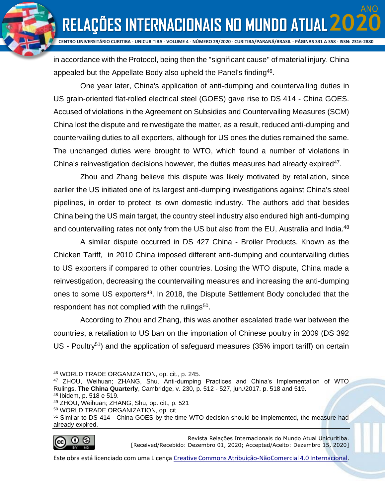ANO

**RELAÇÕES INTERNACIONAIS NO MUNDO ATUAL 20** 

in accordance with the Protocol, being then the ''significant cause'' of material injury. China appealed but the Appellate Body also upheld the Panel's finding<sup>46</sup>.

One year later, China's application of anti-dumping and countervailing duties in US grain-oriented flat-rolled electrical steel (GOES) gave rise to DS 414 - China GOES. Accused of violations in the Agreement on Subsidies and Countervailing Measures (SCM) China lost the dispute and reinvestigate the matter, as a result, reduced anti-dumping and countervailing duties to all exporters, although for US ones the duties remained the same. The unchanged duties were brought to WTO, which found a number of violations in China's reinvestigation decisions however, the duties measures had already expired<sup>47</sup>.

Zhou and Zhang believe this dispute was likely motivated by retaliation, since earlier the US initiated one of its largest anti-dumping investigations against China's steel pipelines, in order to protect its own domestic industry. The authors add that besides China being the US main target, the country steel industry also endured high anti-dumping and countervailing rates not only from the US but also from the EU, Australia and India.<sup>48</sup>

A similar dispute occurred in DS 427 China - Broiler Products. Known as the Chicken Tariff, in 2010 China imposed different anti-dumping and countervailing duties to US exporters if compared to other countries. Losing the WTO dispute, China made a reinvestigation, decreasing the countervailing measures and increasing the anti-dumping ones to some US exporters<sup>49</sup>. In 2018, the Dispute Settlement Body concluded that the respondent has not complied with the rulings<sup>50</sup>.

According to Zhou and Zhang, this was another escalated trade war between the countries, a retaliation to US ban on the importation of Chinese poultry in 2009 (DS 392 US - Poultry<sup>51</sup>) and the application of safeguard measures (35% import tariff) on certain

<sup>51</sup> Similar to DS 414 - China GOES by the time WTO decision should be implemented, the measure had already expired.



Revista Relações Internacionais do Mundo Atual Unicuritiba. [Received/Recebido: Dezembro 01, 2020; Accepted/Aceito: Dezembro 15, 2020]

<sup>46</sup> WORLD TRADE ORGANIZATION, op. cit., p. 245.

<sup>47</sup> ZHOU, Weihuan; ZHANG, Shu. Anti-dumping Practices and China's Implementation of WTO Rulings. **The China Quarterly**, Cambridge, v. 230, p. 512 - 527, jun./2017. p. 518 and 519.

<sup>48</sup> Ibidem, p. 518 e 519.

<sup>49</sup> ZHOU, Weihuan; ZHANG, Shu, op. cit., p. 521

<sup>50</sup> WORLD TRADE ORGANIZATION, op. cit.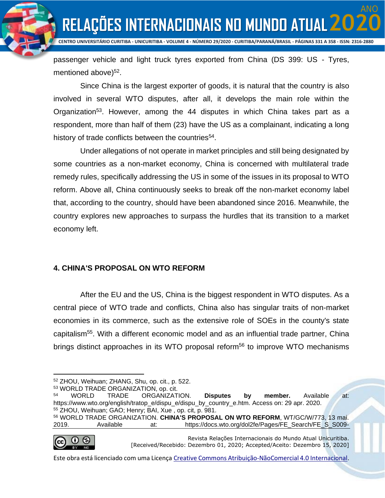ANO

**RELAÇÕES INTERNACIONAIS NO MUNDO ATUAL 20** 

passenger vehicle and light truck tyres exported from China (DS 399: US - Tyres, mentioned above)<sup>52</sup>.

Since China is the largest exporter of goods, it is natural that the country is also involved in several WTO disputes, after all, it develops the main role within the Organization<sup>53</sup>. However, among the 44 disputes in which China takes part as a respondent, more than half of them (23) have the US as a complainant, indicating a long history of trade conflicts between the countries<sup>54</sup>.

Under allegations of not operate in market principles and still being designated by some countries as a non-market economy, China is concerned with multilateral trade remedy rules, specifically addressing the US in some of the issues in its proposal to WTO reform. Above all, China continuously seeks to break off the non-market economy label that, according to the country, should have been abandoned since 2016. Meanwhile, the country explores new approaches to surpass the hurdles that its transition to a market economy left.

### **4. CHINA'S PROPOSAL ON WTO REFORM**

After the EU and the US, China is the biggest respondent in WTO disputes. As a central piece of WTO trade and conflicts, China also has singular traits of non-market economies in its commerce, such as the extensive role of SOEs in the county's state capitalism<sup>55</sup>. With a different economic model and as an influential trade partner, China brings distinct approaches in its WTO proposal reform<sup>56</sup> to improve WTO mechanisms

2019. Available at: https://docs.wto.org/dol2fe/Pages/FE\_Search/FE\_S\_S009-



Revista Relações Internacionais do Mundo Atual Unicuritiba. [Received/Recebido: Dezembro 01, 2020; Accepted/Aceito: Dezembro 15, 2020]

<sup>52</sup> ZHOU, Weihuan; ZHANG, Shu, op. cit., p. 522.

<sup>53</sup> WORLD TRADE ORGANIZATION, op. cit.

<sup>54</sup> WORLD TRADE ORGANIZATION. **Disputes by member.** Available at: https://www.wto.org/english/tratop\_e/dispu\_e/dispu\_by\_country\_e.htm. Access on: 29 apr. 2020. <sup>55</sup> ZHOU, Weihuan; GAO; Henry; BAI, Xue , op. cit, p. 981. <sup>56</sup> WORLD TRADE ORGANIZATION. **CHINA'S PROPOSAL ON WTO REFORM**, WT/GC/W/773, 13 mai.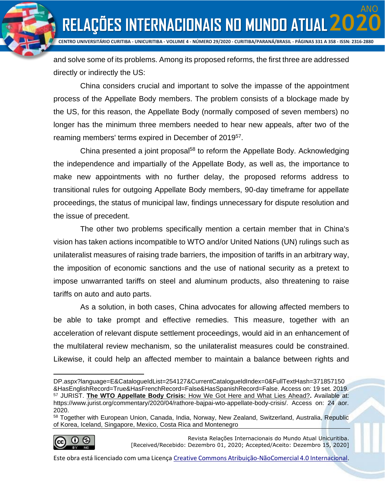ANO

**CENTRO UNIVERSITÁRIO CURITIBA - UNICURITIBA - VOLUME 4 - NÚMERO 29/2020 - CURITIBA/PARANÁ/BRASIL - PÁGINAS 331 A 358 - ISSN: 2316-2880**

and solve some of its problems. Among its proposed reforms, the first three are addressed directly or indirectly the US:

China considers crucial and important to solve the impasse of the appointment process of the Appellate Body members. The problem consists of a blockage made by the US, for this reason, the Appellate Body (normally composed of seven members) no longer has the minimum three members needed to hear new appeals, after two of the reaming members' terms expired in December of 2019<sup>57</sup>.

China presented a joint proposal<sup>58</sup> to reform the Appellate Body. Acknowledging the independence and impartially of the Appellate Body, as well as, the importance to make new appointments with no further delay, the proposed reforms address to transitional rules for outgoing Appellate Body members, 90-day timeframe for appellate proceedings, the status of municipal law, findings unnecessary for dispute resolution and the issue of precedent.

The other two problems specifically mention a certain member that in China's vision has taken actions incompatible to WTO and/or United Nations (UN) rulings such as unilateralist measures of raising trade barriers, the imposition of tariffs in an arbitrary way, the imposition of economic sanctions and the use of national security as a pretext to impose unwarranted tariffs on steel and aluminum products, also threatening to raise tariffs on auto and auto parts.

As a solution, in both cases, China advocates for allowing affected members to be able to take prompt and effective remedies. This measure, together with an acceleration of relevant dispute settlement proceedings, would aid in an enhancement of the multilateral review mechanism, so the unilateralist measures could be constrained. Likewise, it could help an affected member to maintain a balance between rights and

<sup>58</sup> Together with European Union, Canada, India, Norway, New Zealand, Switzerland, Australia, Republic of Korea, Iceland, Singapore, Mexico, Costa Rica and Montenegro



Revista Relações Internacionais do Mundo Atual Unicuritiba. [Received/Recebido: Dezembro 01, 2020; Accepted/Aceito: Dezembro 15, 2020]

DP.aspx?language=E&CatalogueIdList=254127&CurrentCatalogueIdIndex=0&FullTextHash=371857150 &HasEnglishRecord=True&HasFrenchRecord=False&HasSpanishRecord=False. Access on: 19 set. 2019. <sup>57</sup> JURIST. **The WTO Appellate Body Crisis:** [How We Got Here and What Lies Ahead?](https://www.jurist.org/commentary/2020/04/rathore-bajpai-wto-appellate-body-crisis/)**.** Available at: https://www.jurist.org/commentary/2020/04/rathore-bajpai-wto-appellate-body-crisis/. Access on: 24 aor. 2020.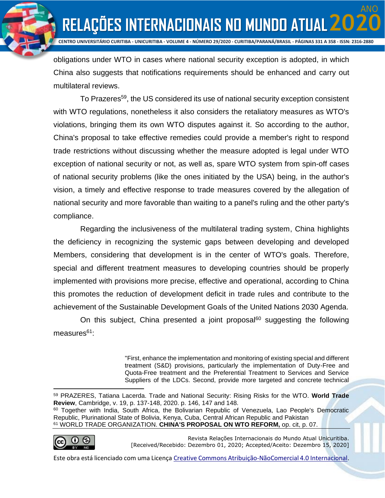ANO

**CENTRO UNIVERSITÁRIO CURITIBA - UNICURITIBA - VOLUME 4 - NÚMERO 29/2020 - CURITIBA/PARANÁ/BRASIL - PÁGINAS 331 A 358 - ISSN: 2316-2880**

obligations under WTO in cases where national security exception is adopted, in which China also suggests that notifications requirements should be enhanced and carry out multilateral reviews.

To Prazeres<sup>59</sup>, the US considered its use of national security exception consistent with WTO regulations, nonetheless it also considers the retaliatory measures as WTO's violations, bringing them its own WTO disputes against it. So according to the author, China's proposal to take effective remedies could provide a member's right to respond trade restrictions without discussing whether the measure adopted is legal under WTO exception of national security or not, as well as, spare WTO system from spin-off cases of national security problems (like the ones initiated by the USA) being, in the author's vision, a timely and effective response to trade measures covered by the allegation of national security and more favorable than waiting to a panel's ruling and the other party's compliance.

Regarding the inclusiveness of the multilateral trading system, China highlights the deficiency in recognizing the systemic gaps between developing and developed Members, considering that development is in the center of WTO's goals. Therefore, special and different treatment measures to developing countries should be properly implemented with provisions more precise, effective and operational, according to China this promotes the reduction of development deficit in trade rules and contribute to the achievement of the Sustainable Development Goals of the United Nations 2030 Agenda.

On this subject, China presented a joint proposal<sup>60</sup> suggesting the following measures<sup>61</sup>:

> ''First, enhance the implementation and monitoring of existing special and different treatment (S&D) provisions, particularly the implementation of Duty-Free and Quota-Free treatment and the Preferential Treatment to Services and Service Suppliers of the LDCs. Second, provide more targeted and concrete technical

Republic, Plurinational State of Bolivia, Kenya, Cuba, Central African Republic and Pakistan <sup>61</sup> WORLD TRADE ORGANIZATION. **CHINA'S PROPOSAL ON WTO REFORM,** op. cit, p. 07.



Revista Relações Internacionais do Mundo Atual Unicuritiba. [Received/Recebido: Dezembro 01, 2020; Accepted/Aceito: Dezembro 15, 2020]

<sup>59</sup> PRAZERES, Tatiana Lacerda. Trade and National Security: Rising Risks for the WTO. **World Trade Review**, Cambridge, v. 19, p. 137-148, 2020. p. 146, 147 and 148. <sup>60</sup> Together with India, South Africa, the Bolivarian Republic of Venezuela, Lao People's Democratic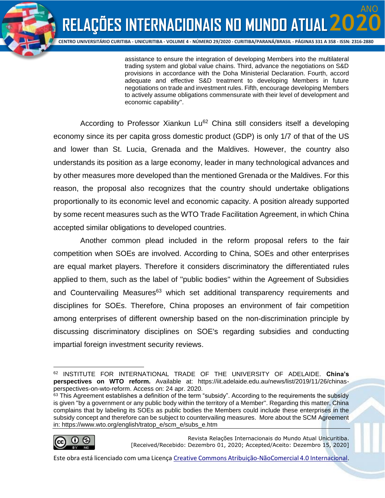assistance to ensure the integration of developing Members into the multilateral trading system and global value chains. Third, advance the negotiations on S&D provisions in accordance with the Doha Ministerial Declaration. Fourth, accord adequate and effective S&D treatment to developing Members in future negotiations on trade and investment rules. Fifth, encourage developing Members to actively assume obligations commensurate with their level of development and economic capability''.

According to Professor Xiankun Lu<sup>62</sup> China still considers itself a developing economy since its per capita gross domestic product (GDP) is only 1/7 of that of the US and lower than St. Lucia, Grenada and the Maldives. However, the country also understands its position as a large economy, leader in many technological advances and by other measures more developed than the mentioned Grenada or the Maldives. For this reason, the proposal also recognizes that the country should undertake obligations proportionally to its economic level and economic capacity. A position already supported by some recent measures such as the WTO Trade Facilitation Agreement, in which China accepted similar obligations to developed countries.

Another common plead included in the reform proposal refers to the fair competition when SOEs are involved. According to China, SOEs and other enterprises are equal market players. Therefore it considers discriminatory the differentiated rules applied to them, such as the label of ''public bodies'' within the Agreement of Subsidies and Countervailing Measures<sup>63</sup> which set additional transparency requirements and disciplines for SOEs. Therefore, China proposes an environment of fair competition among enterprises of different ownership based on the non-discrimination principle by discussing discriminatory disciplines on SOE's regarding subsidies and conducting impartial foreign investment security reviews.

<sup>63</sup> This Agreement establishes a definition of the term "subsidy". According to the requirements the subsidy is given ''by a government or any public body within the territory of a Member''. Regarding this matter, China complains that by labeling its SOEs as public bodies the Members could include these enterprises in the subsidy concept and therefore can be subject to countervailing measures. More about the SCM Agreement in: https://www.wto.org/english/tratop\_e/scm\_e/subs\_e.htm



Revista Relações Internacionais do Mundo Atual Unicuritiba. [Received/Recebido: Dezembro 01, 2020; Accepted/Aceito: Dezembro 15, 2020]

<sup>62</sup> INSTITUTE FOR INTERNATIONAL TRADE OF THE UNIVERSITY OF ADELAIDE. **China's perspectives on WTO reform.** Available at: https://iit.adelaide.edu.au/news/list/2019/11/26/chinasperspectives-on-wto-reform. Access on: 24 apr. 2020.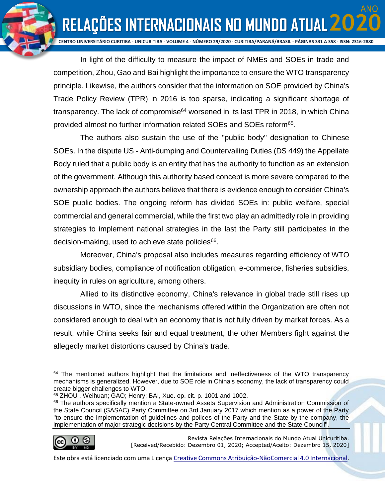ANO

**RELAÇÕES INTERNACIONAIS NO MUNDO ATUAL 20** 

In light of the difficulty to measure the impact of NMEs and SOEs in trade and competition, Zhou, Gao and Bai highlight the importance to ensure the WTO transparency principle. Likewise, the authors consider that the information on SOE provided by China's Trade Policy Review (TPR) in 2016 is too sparse, indicating a significant shortage of transparency. The lack of compromise<sup>64</sup> worsened in its last TPR in 2018, in which China provided almost no further information related SOEs and SOEs reform<sup>65</sup>.

The authors also sustain the use of the ''public body'' designation to Chinese SOEs. In the dispute US - Anti-dumping and Countervailing Duties (DS 449) the Appellate Body ruled that a public body is an entity that has the authority to function as an extension of the government. Although this authority based concept is more severe compared to the ownership approach the authors believe that there is evidence enough to consider China's SOE public bodies. The ongoing reform has divided SOEs in: public welfare, special commercial and general commercial, while the first two play an admittedly role in providing strategies to implement national strategies in the last the Party still participates in the decision-making, used to achieve state policies<sup>66</sup>.

Moreover, China's proposal also includes measures regarding efficiency of WTO subsidiary bodies, compliance of notification obligation, e-commerce, fisheries subsidies, inequity in rules on agriculture, among others.

Allied to its distinctive economy, China's relevance in global trade still rises up discussions in WTO, since the mechanisms offered within the Organization are often not considered enough to deal with an economy that is not fully driven by market forces. As a result, while China seeks fair and equal treatment, the other Members fight against the allegedly market distortions caused by China's trade.

<sup>66</sup> The authors specifically mention a State-owned Assets Supervision and Administration Commission of the State Council (SASAC) Party Committee on 3rd January 2017 which mention as a power of the Party ''to ensure the implementation of guidelines and polices of the Party and the State by the company, the implementation of major strategic decisions by the Party Central Committee and the State Council''.



Revista Relações Internacionais do Mundo Atual Unicuritiba. [Received/Recebido: Dezembro 01, 2020; Accepted/Aceito: Dezembro 15, 2020]

 $64$  The mentioned authors highlight that the limitations and ineffectiveness of the WTO transparency mechanisms is generalized. However, due to SOE role in China's economy, the lack of transparency could create bigger challenges to WTO.

<sup>65</sup> ZHOU , Weihuan; GAO; Henry; BAI, Xue. op. cit. p. 1001 and 1002.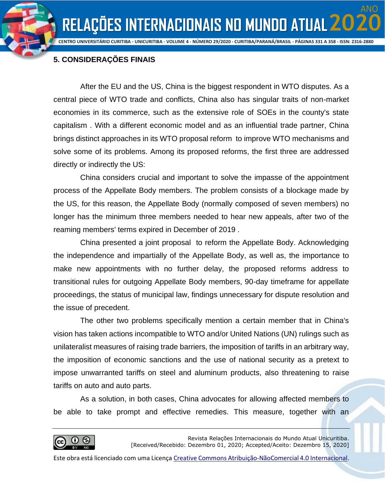**CENTRO UNIVERSITÁRIO CURITIBA - UNICURITIBA - VOLUME 4 - NÚMERO 29/2020 - CURITIBA/PARANÁ/BRASIL - PÁGINAS 331 A 358 - ISSN: 2316-2880**

ANO

## **5. CONSIDERAÇÕES FINAIS**

After the EU and the US, China is the biggest respondent in WTO disputes. As a central piece of WTO trade and conflicts, China also has singular traits of non-market economies in its commerce, such as the extensive role of SOEs in the county's state capitalism . With a different economic model and as an influential trade partner, China brings distinct approaches in its WTO proposal reform to improve WTO mechanisms and solve some of its problems. Among its proposed reforms, the first three are addressed directly or indirectly the US:

China considers crucial and important to solve the impasse of the appointment process of the Appellate Body members. The problem consists of a blockage made by the US, for this reason, the Appellate Body (normally composed of seven members) no longer has the minimum three members needed to hear new appeals, after two of the reaming members' terms expired in December of 2019 .

China presented a joint proposal to reform the Appellate Body. Acknowledging the independence and impartially of the Appellate Body, as well as, the importance to make new appointments with no further delay, the proposed reforms address to transitional rules for outgoing Appellate Body members, 90-day timeframe for appellate proceedings, the status of municipal law, findings unnecessary for dispute resolution and the issue of precedent.

The other two problems specifically mention a certain member that in China's vision has taken actions incompatible to WTO and/or United Nations (UN) rulings such as unilateralist measures of raising trade barriers, the imposition of tariffs in an arbitrary way, the imposition of economic sanctions and the use of national security as a pretext to impose unwarranted tariffs on steel and aluminum products, also threatening to raise tariffs on auto and auto parts.

As a solution, in both cases, China advocates for allowing affected members to be able to take prompt and effective remedies. This measure, together with an

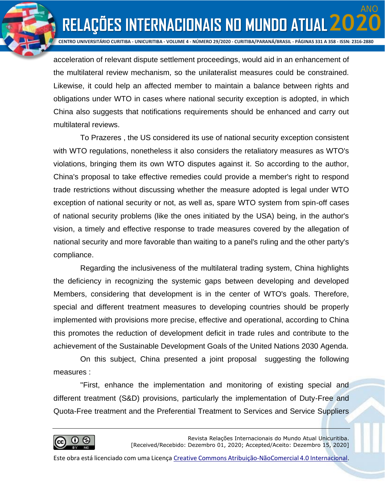ANO

**RELAÇÕES INTERNACIONAIS NO MUNDO ATUAL 20** 

acceleration of relevant dispute settlement proceedings, would aid in an enhancement of the multilateral review mechanism, so the unilateralist measures could be constrained. Likewise, it could help an affected member to maintain a balance between rights and obligations under WTO in cases where national security exception is adopted, in which China also suggests that notifications requirements should be enhanced and carry out multilateral reviews.

To Prazeres , the US considered its use of national security exception consistent with WTO regulations, nonetheless it also considers the retaliatory measures as WTO's violations, bringing them its own WTO disputes against it. So according to the author, China's proposal to take effective remedies could provide a member's right to respond trade restrictions without discussing whether the measure adopted is legal under WTO exception of national security or not, as well as, spare WTO system from spin-off cases of national security problems (like the ones initiated by the USA) being, in the author's vision, a timely and effective response to trade measures covered by the allegation of national security and more favorable than waiting to a panel's ruling and the other party's compliance.

Regarding the inclusiveness of the multilateral trading system, China highlights the deficiency in recognizing the systemic gaps between developing and developed Members, considering that development is in the center of WTO's goals. Therefore, special and different treatment measures to developing countries should be properly implemented with provisions more precise, effective and operational, according to China this promotes the reduction of development deficit in trade rules and contribute to the achievement of the Sustainable Development Goals of the United Nations 2030 Agenda.

On this subject, China presented a joint proposal suggesting the following measures :

''First, enhance the implementation and monitoring of existing special and different treatment (S&D) provisions, particularly the implementation of Duty-Free and Quota-Free treatment and the Preferential Treatment to Services and Service Suppliers

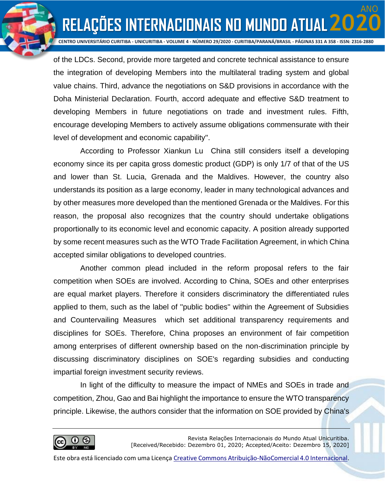ANO

**RELAÇÕES INTERNACIONAIS NO MUNDO ATUAL 20** 

of the LDCs. Second, provide more targeted and concrete technical assistance to ensure the integration of developing Members into the multilateral trading system and global value chains. Third, advance the negotiations on S&D provisions in accordance with the Doha Ministerial Declaration. Fourth, accord adequate and effective S&D treatment to developing Members in future negotiations on trade and investment rules. Fifth, encourage developing Members to actively assume obligations commensurate with their level of development and economic capability''.

According to Professor Xiankun Lu China still considers itself a developing economy since its per capita gross domestic product (GDP) is only 1/7 of that of the US and lower than St. Lucia, Grenada and the Maldives. However, the country also understands its position as a large economy, leader in many technological advances and by other measures more developed than the mentioned Grenada or the Maldives. For this reason, the proposal also recognizes that the country should undertake obligations proportionally to its economic level and economic capacity. A position already supported by some recent measures such as the WTO Trade Facilitation Agreement, in which China accepted similar obligations to developed countries.

Another common plead included in the reform proposal refers to the fair competition when SOEs are involved. According to China, SOEs and other enterprises are equal market players. Therefore it considers discriminatory the differentiated rules applied to them, such as the label of ''public bodies'' within the Agreement of Subsidies and Countervailing Measures which set additional transparency requirements and disciplines for SOEs. Therefore, China proposes an environment of fair competition among enterprises of different ownership based on the non-discrimination principle by discussing discriminatory disciplines on SOE's regarding subsidies and conducting impartial foreign investment security reviews.

In light of the difficulty to measure the impact of NMEs and SOEs in trade and competition, Zhou, Gao and Bai highlight the importance to ensure the WTO transparency principle. Likewise, the authors consider that the information on SOE provided by China's

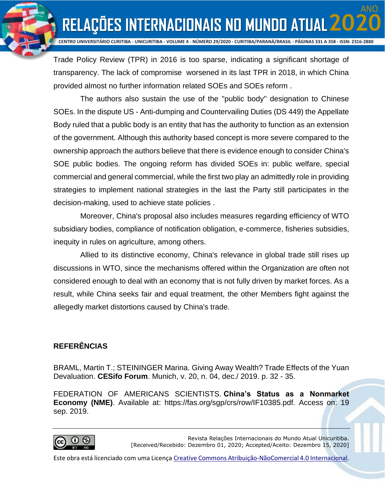**RELAÇÕES INTERNACIONAIS NO MUNDO ATUAL 20 CENTRO UNIVERSITÁRIO CURITIBA - UNICURITIBA - VOLUME 4 - NÚMERO 29/2020 - CURITIBA/PARANÁ/BRASIL - PÁGINAS 331 A 358 - ISSN: 2316-2880**

ANO

Trade Policy Review (TPR) in 2016 is too sparse, indicating a significant shortage of transparency. The lack of compromise worsened in its last TPR in 2018, in which China provided almost no further information related SOEs and SOEs reform .

The authors also sustain the use of the ''public body'' designation to Chinese SOEs. In the dispute US - Anti-dumping and Countervailing Duties (DS 449) the Appellate Body ruled that a public body is an entity that has the authority to function as an extension of the government. Although this authority based concept is more severe compared to the ownership approach the authors believe that there is evidence enough to consider China's SOE public bodies. The ongoing reform has divided SOEs in: public welfare, special commercial and general commercial, while the first two play an admittedly role in providing strategies to implement national strategies in the last the Party still participates in the decision-making, used to achieve state policies .

Moreover, China's proposal also includes measures regarding efficiency of WTO subsidiary bodies, compliance of notification obligation, e-commerce, fisheries subsidies, inequity in rules on agriculture, among others.

Allied to its distinctive economy, China's relevance in global trade still rises up discussions in WTO, since the mechanisms offered within the Organization are often not considered enough to deal with an economy that is not fully driven by market forces. As a result, while China seeks fair and equal treatment, the other Members fight against the allegedly market distortions caused by China's trade.

### **REFERÊNCIAS**

BRAML, Martin T.; STEININGER Marina. Giving Away Wealth? Trade Effects of the Yuan Devaluation. **CESifo Forum**. Munich, v. 20, n. 04, dec./ 2019. p. 32 - 35.

FEDERATION OF AMERICANS SCIENTISTS. **China's Status as a Nonmarket Economy (NME)**. Available at: https://fas.org/sgp/crs/row/IF10385.pdf. Access on: 19 sep. 2019.



Revista Relações Internacionais do Mundo Atual Unicuritiba. [Received/Recebido: Dezembro 01, 2020; Accepted/Aceito: Dezembro 15, 2020]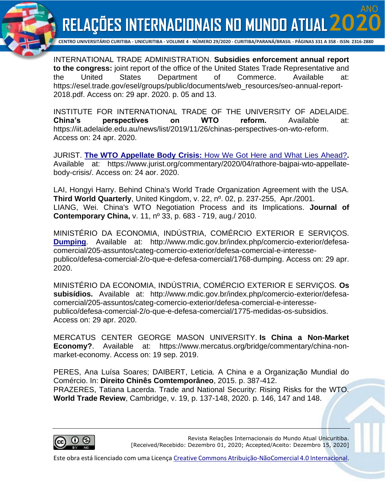ANO



**CENTRO UNIVERSITÁRIO CURITIBA - UNICURITIBA - VOLUME 4 - NÚMERO 29/2020 - CURITIBA/PARANÁ/BRASIL - PÁGINAS 331 A 358 - ISSN: 2316-2880**

INTERNATIONAL TRADE ADMINISTRATION. **Subsidies enforcement annual report to the congress:** joint report of the office of the United States Trade Representative and the United States Department of Commerce. Available at: https://esel.trade.gov/esel/groups/public/documents/web\_resources/seo-annual-report-2018.pdf. Access on: 29 apr. 2020. p. 05 and 13.

INSTITUTE FOR INTERNATIONAL TRADE OF THE UNIVERSITY OF ADELAIDE. **China's perspectives on WTO reform.** Available at: https://iit.adelaide.edu.au/news/list/2019/11/26/chinas-perspectives-on-wto-reform. Access on: 24 apr. 2020.

JURIST. **The WTO Appellate Body Crisis:** [How We Got Here and What Lies Ahead?](https://www.jurist.org/commentary/2020/04/rathore-bajpai-wto-appellate-body-crisis/)**.** Available at: https://www.jurist.org/commentary/2020/04/rathore-bajpai-wto-appellatebody-crisis/. Access on: 24 aor. 2020.

LAI, Hongyi Harry. Behind China's World Trade Organization Agreement with the USA. **Third World Quarterly**, United Kingdom, v. 22, nº. 02, p. 237-255, Apr./2001. LIANG, Wei. China's WTO Negotiation Process and its Implications. **Journal of Contemporary China,** v. 11, nº 33, p. 683 - 719, aug./ 2010.

MINISTÉRIO DA ECONOMIA, INDÚSTRIA, COMÉRCIO EXTERIOR E SERVIÇOS. **[Dumping](http://www.mdic.gov.br/index.php/comercio-exterior/defesa-comercial)**. Available at: http://www.mdic.gov.br/index.php/comercio-exterior/defesacomercial/205-assuntos/categ-comercio-exterior/defesa-comercial-e-interessepublico/defesa-comercial-2/o-que-e-defesa-comercial/1768-dumping. Access on: 29 apr. 2020.

MINISTÉRIO DA ECONOMIA, INDÚSTRIA, COMÉRCIO EXTERIOR E SERVIÇOS. **Os subisídios.** Available at: http://www.mdic.gov.br/index.php/comercio-exterior/defesacomercial/205-assuntos/categ-comercio-exterior/defesa-comercial-e-interessepublico/defesa-comercial-2/o-que-e-defesa-comercial/1775-medidas-os-subsidios. Access on: 29 apr. 2020.

MERCATUS CENTER GEORGE MASON UNIVERSITY. **Is China a Non-Market Economy?**. Available at: https://www.mercatus.org/bridge/commentary/china-nonmarket-economy. Access on: 19 sep. 2019.

PERES, Ana Luísa Soares; DAIBERT, Leticia. A China e a Organização Mundial do Comércio. In: **Direito Chinês Comtemporâneo**, 2015. p. 387-412. PRAZERES, Tatiana Lacerda. Trade and National Security: Rising Risks for the WTO. **World Trade Review**, Cambridge, v. 19, p. 137-148, 2020. p. 146, 147 and 148.



Revista Relações Internacionais do Mundo Atual Unicuritiba. [Received/Recebido: Dezembro 01, 2020; Accepted/Aceito: Dezembro 15, 2020]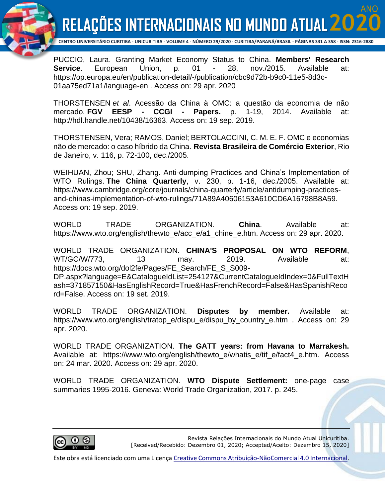ANO



**CENTRO UNIVERSITÁRIO CURITIBA - UNICURITIBA - VOLUME 4 - NÚMERO 29/2020 - CURITIBA/PARANÁ/BRASIL - PÁGINAS 331 A 358 - ISSN: 2316-2880**

PUCCIO, Laura. Granting Market Economy Status to China. **Members' Research Service**. European Union, p. 01 - 28, nov./2015. Available at: https://op.europa.eu/en/publication-detail/-/publication/cbc9d72b-b9c0-11e5-8d3c-01aa75ed71a1/language-en . Access on: 29 apr. 2020

THORSTENSEN *et al*. Acessão da China à OMC: a questão da economia de não mercado. **FGV EESP - CCGI - Papers.** p. 1-19, 2014. Available at: http://hdl.handle.net/10438/16363. Access on: 19 sep. 2019.

THORSTENSEN, Vera; RAMOS, Daniel; BERTOLACCINI, C. M. E. F. OMC e economias não de mercado: o caso híbrido da China. **Revista Brasileira de Comércio Exterior**, Rio de Janeiro, v. 116, p. 72-100, dec./2005.

WEIHUAN, Zhou; SHU, Zhang. Anti-dumping Practices and China's Implementation of WTO Rulings. **The China Quarterly**, v. 230, p. 1-16, dec./2005. Available at: https://www.cambridge.org/core/journals/china-quarterly/article/antidumping-practicesand-chinas-implementation-of-wto-rulings/71A89A40606153A610CD6A16798B8A59. Access on: 19 sep. 2019.

WORLD TRADE ORGANIZATION. **China**. Available at: https://www.wto.org/english/thewto\_e/acc\_e/a1\_chine\_e.htm. Access on: 29 apr. 2020.

WORLD TRADE ORGANIZATION. **CHINA'S PROPOSAL ON WTO REFORM**, WT/GC/W/773, 13 may. 2019. Available at: https://docs.wto.org/dol2fe/Pages/FE\_Search/FE\_S\_S009-DP.aspx?language=E&CatalogueIdList=254127&CurrentCatalogueIdIndex=0&FullTextH ash=371857150&HasEnglishRecord=True&HasFrenchRecord=False&HasSpanishReco rd=False. Access on: 19 set. 2019.

WORLD TRADE ORGANIZATION. **Disputes by member.** Available at: https://www.wto.org/english/tratop\_e/dispu\_e/dispu\_by\_country\_e.htm . Access on: 29 apr. 2020.

WORLD TRADE ORGANIZATION. **The GATT years: from Havana to Marrakesh.**  Available at: https://www.wto.org/english/thewto\_e/whatis\_e/tif\_e/fact4\_e.htm. Access on: 24 mar. 2020. Access on: 29 apr. 2020.

WORLD TRADE ORGANIZATION. **WTO Dispute Settlement:** one-page case summaries 1995-2016. Geneva: World Trade Organization, 2017. p. 245.



Revista Relações Internacionais do Mundo Atual Unicuritiba. [Received/Recebido: Dezembro 01, 2020; Accepted/Aceito: Dezembro 15, 2020]